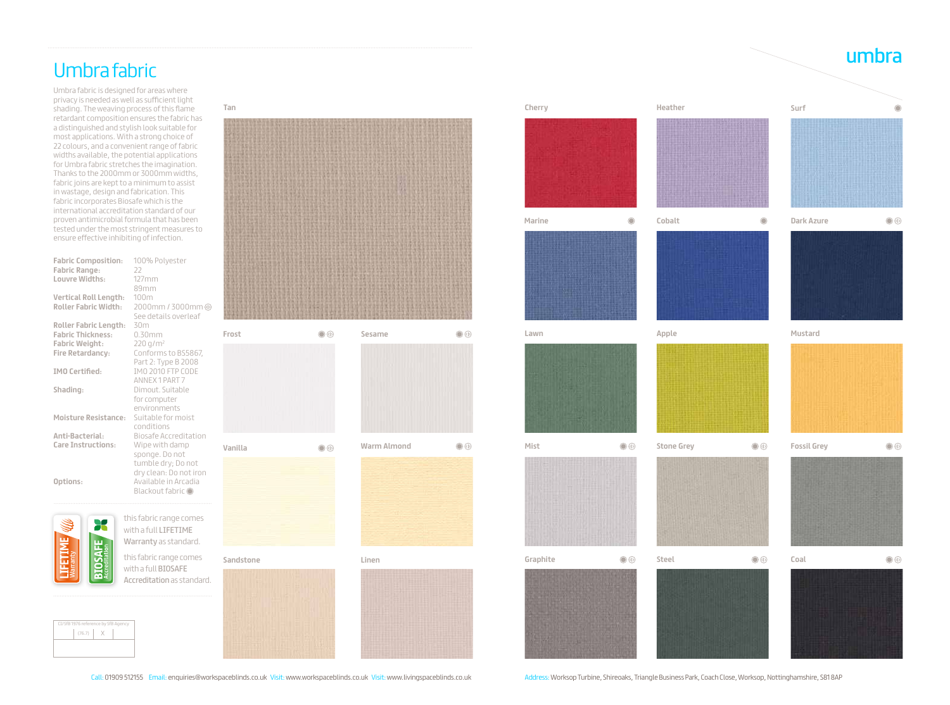## umbra Umbra fabric

Umbra fabric is designed for areas where privacy is needed as well as sufficient light shading. The weaving process of this flame retardant composition ensures the fabric has a distinguished and stylish look suitable for most applications. With a strong choice of 22 colours, and a convenient range of fabric widths available, the potential applications for Umbra fabric stretches the imagination. Thanks to the 2000mm or 3000mm widths, fabric joins are kept to a minimum to assist in wastage, design and fabrication. This fabric incorporates Biosafe which is the international accreditation standard of our proven antimicrobial formula that has been tested under the most stringent measures to ensure effective inhibiting of infection.

| <b>Fabric Composition:</b>   | 100% Polyester               |
|------------------------------|------------------------------|
| <b>Fabric Range:</b>         | 22                           |
| Louvre Widths:               | 127mm                        |
|                              | 89mm                         |
| <b>Vertical Roll Length:</b> | 100m                         |
| <b>Roller Fabric Width:</b>  | 2000mm / 3000mm              |
|                              | See details overleaf         |
| <b>Roller Fabric Length:</b> | 30m                          |
| <b>Fabric Thickness:</b>     | 0.30mm                       |
| <b>Fabric Weight:</b>        | 220 g/m <sup>2</sup>         |
| <b>Fire Retardancy:</b>      | Conforms to BS5867,          |
|                              | Part 2: Type B 2008          |
| <b>IMO Certified:</b>        | <b>IMO 2010 FTP CODE</b>     |
|                              | ANNEX 1 PART 7               |
| Shading:                     | Dimout, Suitable             |
|                              | for computer                 |
|                              | environments                 |
| <b>Moisture Resistance:</b>  | Suitable for moist           |
|                              | conditions                   |
| Anti-Bacterial:              | <b>Biosafe Accreditation</b> |
| <b>Care Instructions:</b>    | Wipe with damp               |
|                              | sponge. Do not               |
|                              | tumble dry; Do not           |
|                              | dry clean: Do not iron       |
| Options:                     | Available in Arcadia         |
|                              | Blackout fabric O            |
|                              |                              |
|                              | this fabric range comes      |
|                              | with a full LIFETIME         |
|                              |                              |
|                              | Warranty as standard.        |

this fabric range comes with a full BIOSAFE Accreditation as standard.

Warranty



**Marine Cobalt**



| CI/SfB 1976 reference by SfB Agency |        |  |  |  |  |  |
|-------------------------------------|--------|--|--|--|--|--|
|                                     | (76.7) |  |  |  |  |  |
|                                     |        |  |  |  |  |  |
|                                     |        |  |  |  |  |  |